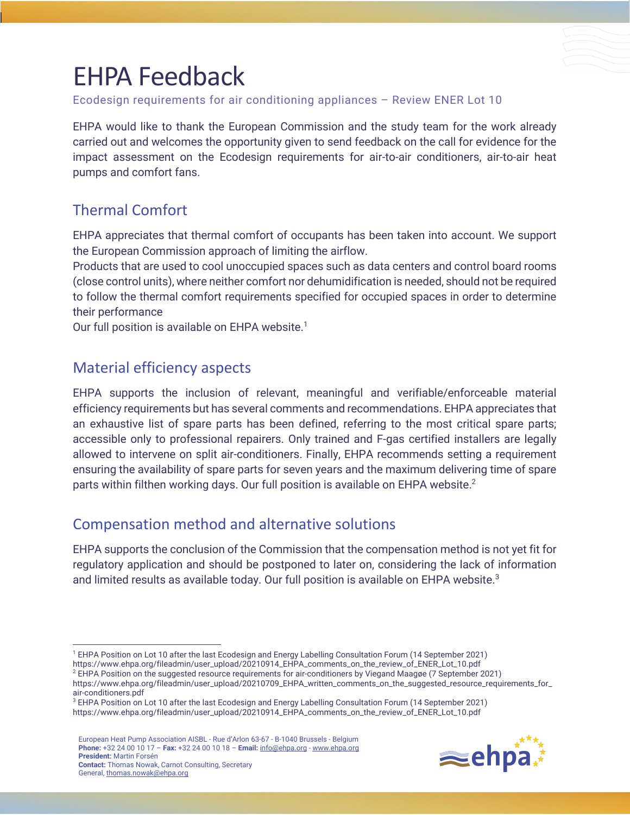# EHPA Feedback

Ecodesign requirements for air conditioning appliances – Review ENER Lot 10

EHPA would like to thank the European Commission and the study team for the work already carried out and welcomes the opportunity given to send feedback on the call for evidence for the impact assessment on the Ecodesign requirements for air-to-air conditioners, air-to-air heat pumps and comfort fans.

# Thermal Comfort

EHPA appreciates that thermal comfort of occupants has been taken into account. We support the European Commission approach of limiting the airflow.

Products that are used to cool unoccupied spaces such as data centers and control board rooms (close control units), where neither comfort nor dehumidification is needed, should not be required to follow the thermal comfort requirements specified for occupied spaces in order to determine their performance

Our full position is available on EHPA website.<sup>1</sup>

#### Material efficiency aspects

EHPA supports the inclusion of relevant, meaningful and verifiable/enforceable material efficiency requirements but has several comments and recommendations. EHPA appreciates that an exhaustive list of spare parts has been defined, referring to the most critical spare parts; accessible only to professional repairers. Only trained and F-gas certified installers are legally allowed to intervene on split air-conditioners. Finally, EHPA recommends setting a requirement ensuring the availability of spare parts for seven years and the maximum delivering time of spare parts within filthen working days. Our full position is available on EHPA website.<sup>2</sup>

### Compensation method and alternative solutions

EHPA supports the conclusion of the Commission that the compensation method is not yet fit for regulatory application and should be postponed to later on, considering the lack of information and limited results as available today. Our full position is available on EHPA website.<sup>3</sup>

<sup>2</sup> EHPA Position on the suggested resource requirements for air-conditioners by Viegand Maagøe (7 September 2021)

European Heat Pump Association AISBL - Rue d'Arlon 63-67 - B-1040 Brussels - Belgium **Phone:** +32 24 00 10 17 – **Fax:** +32 24 00 10 18 – **Email:** info@ehpa.org - www.ehpa.org **President:** Martin Forsén **Contact:** Thomas Nowak, Carnot Consulting, Secretary General, thomas.nowak@ehpa.org



<sup>1</sup> EHPA Position on Lot 10 after the last Ecodesign and Energy Labelling Consultation Forum (14 September 2021)

https://www.ehpa.org/fileadmin/user\_upload/20210914\_EHPA\_comments\_on\_the\_review\_of\_ENER\_Lot\_10.pdf

https://www.ehpa.org/fileadmin/user\_upload/20210709\_EHPA\_written\_comments\_on\_the\_suggested\_resource\_requirements\_for\_ air-conditioners.pdf

<sup>&</sup>lt;sup>3</sup> EHPA Position on Lot 10 after the last Ecodesign and Energy Labelling Consultation Forum (14 September 2021) https://www.ehpa.org/fileadmin/user\_upload/20210914\_EHPA\_comments\_on\_the\_review\_of\_ENER\_Lot\_10.pdf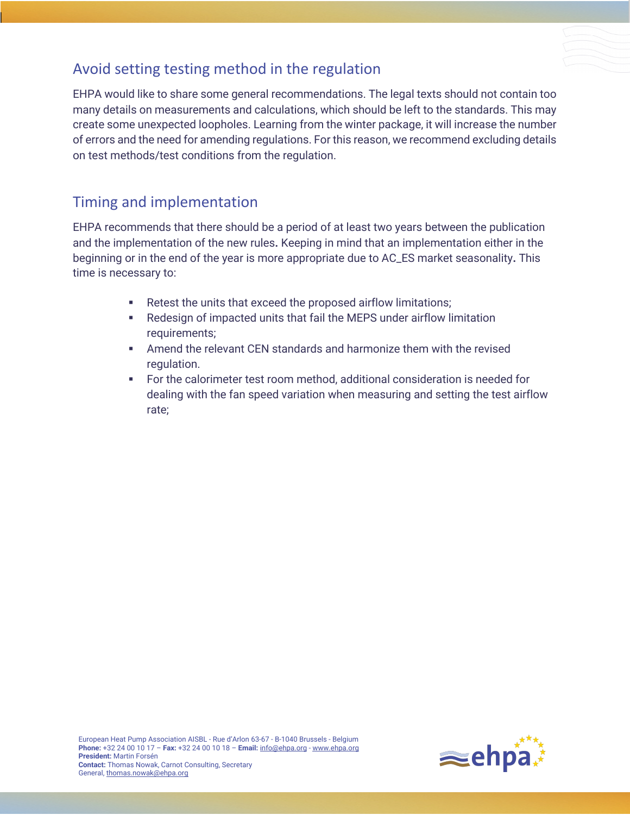# Avoid setting testing method in the regulation

EHPA would like to share some general recommendations. The legal texts should not contain too many details on measurements and calculations, which should be left to the standards. This may create some unexpected loopholes. Learning from the winter package, it will increase the number of errors and the need for amending regulations. For this reason, we recommend excluding details on test methods/test conditions from the regulation.

#### Timing and implementation

EHPA recommends that there should be a period of at least two years between the publication and the implementation of the new rules**.** Keeping in mind that an implementation either in the beginning or in the end of the year is more appropriate due to AC\_ES market seasonality**.** This time is necessary to:

- Retest the units that exceed the proposed airflow limitations;
- Redesign of impacted units that fail the MEPS under airflow limitation requirements;
- § Amend the relevant CEN standards and harmonize them with the revised regulation.
- § For the calorimeter test room method, additional consideration is needed for dealing with the fan speed variation when measuring and setting the test airflow rate;